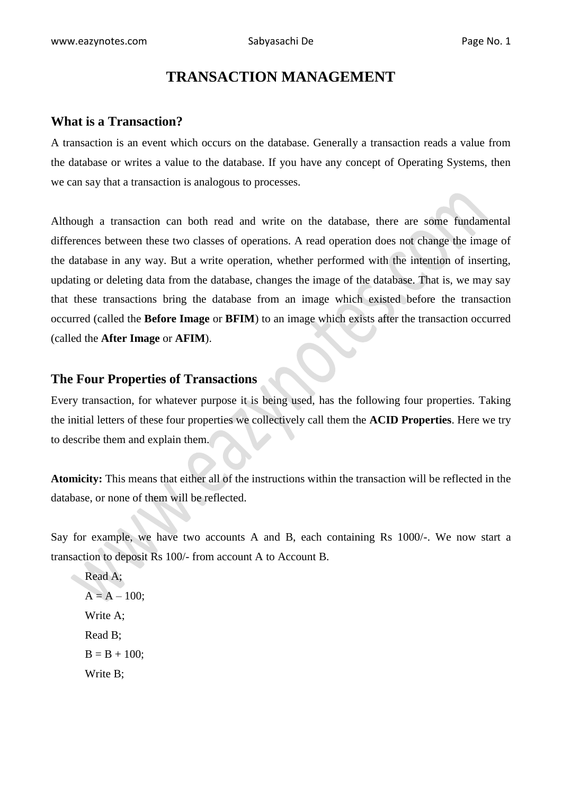# **TRANSACTION MANAGEMENT**

# **What is a Transaction?**

A transaction is an event which occurs on the database. Generally a transaction reads a value from the database or writes a value to the database. If you have any concept of Operating Systems, then we can say that a transaction is analogous to processes.

Although a transaction can both read and write on the database, there are some fundamental differences between these two classes of operations. A read operation does not change the image of the database in any way. But a write operation, whether performed with the intention of inserting, updating or deleting data from the database, changes the image of the database. That is, we may say that these transactions bring the database from an image which existed before the transaction occurred (called the **Before Image** or **BFIM**) to an image which exists after the transaction occurred (called the **After Image** or **AFIM**).

### **The Four Properties of Transactions**

Every transaction, for whatever purpose it is being used, has the following four properties. Taking the initial letters of these four properties we collectively call them the **ACID Properties**. Here we try to describe them and explain them.

**Atomicity:** This means that either all of the instructions within the transaction will be reflected in the database, or none of them will be reflected.

Say for example, we have two accounts A and B, each containing Rs 1000/-. We now start a transaction to deposit Rs 100/- from account A to Account B.

Read A;  $A = A - 100$ ; Write A; Read B;  $B = B + 100$ ; Write B;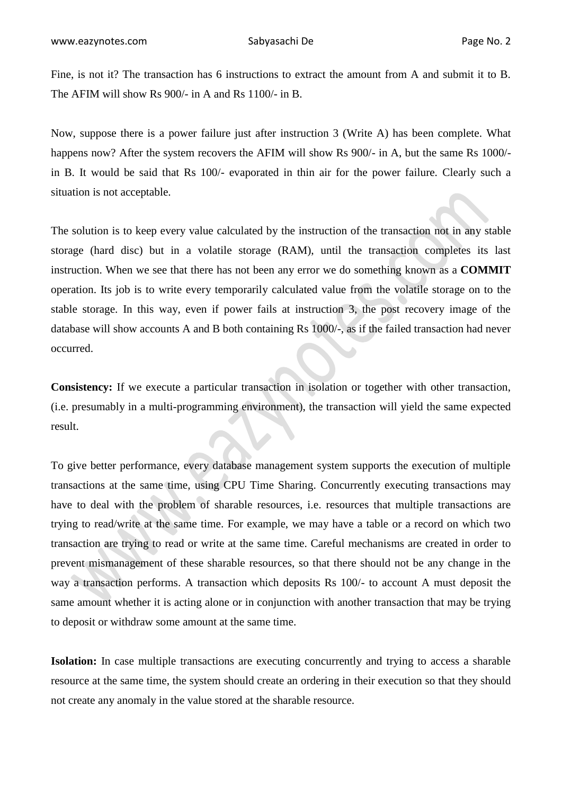Fine, is not it? The transaction has 6 instructions to extract the amount from A and submit it to B. The AFIM will show Rs 900/- in A and Rs 1100/- in B.

Now, suppose there is a power failure just after instruction 3 (Write A) has been complete. What happens now? After the system recovers the AFIM will show Rs 900/- in A, but the same Rs 1000/in B. It would be said that Rs 100/- evaporated in thin air for the power failure. Clearly such a situation is not acceptable.

The solution is to keep every value calculated by the instruction of the transaction not in any stable storage (hard disc) but in a volatile storage (RAM), until the transaction completes its last instruction. When we see that there has not been any error we do something known as a **COMMIT** operation. Its job is to write every temporarily calculated value from the volatile storage on to the stable storage. In this way, even if power fails at instruction 3, the post recovery image of the database will show accounts A and B both containing Rs 1000/-, as if the failed transaction had never occurred.

**Consistency:** If we execute a particular transaction in isolation or together with other transaction, (i.e. presumably in a multi-programming environment), the transaction will yield the same expected result.

To give better performance, every database management system supports the execution of multiple transactions at the same time, using CPU Time Sharing. Concurrently executing transactions may have to deal with the problem of sharable resources, i.e. resources that multiple transactions are trying to read/write at the same time. For example, we may have a table or a record on which two transaction are trying to read or write at the same time. Careful mechanisms are created in order to prevent mismanagement of these sharable resources, so that there should not be any change in the way a transaction performs. A transaction which deposits Rs 100/- to account A must deposit the same amount whether it is acting alone or in conjunction with another transaction that may be trying to deposit or withdraw some amount at the same time.

**Isolation:** In case multiple transactions are executing concurrently and trying to access a sharable resource at the same time, the system should create an ordering in their execution so that they should not create any anomaly in the value stored at the sharable resource.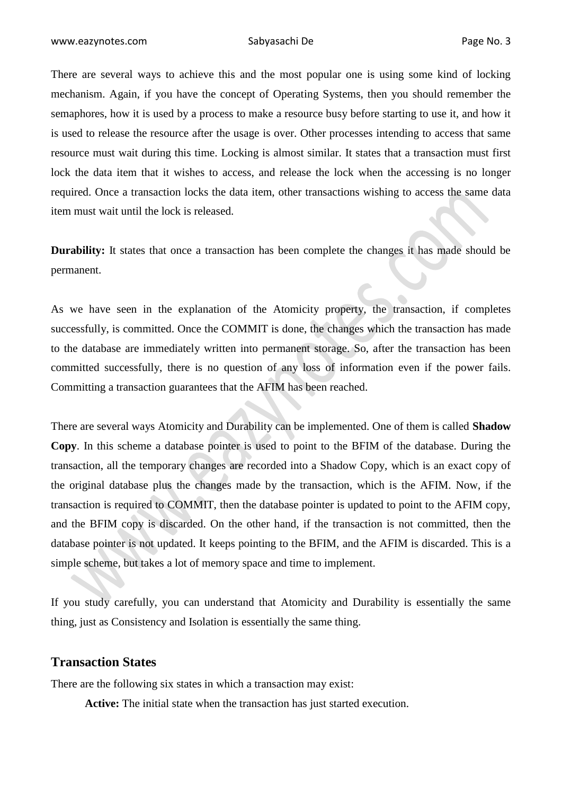There are several ways to achieve this and the most popular one is using some kind of locking mechanism. Again, if you have the concept of Operating Systems, then you should remember the semaphores, how it is used by a process to make a resource busy before starting to use it, and how it is used to release the resource after the usage is over. Other processes intending to access that same resource must wait during this time. Locking is almost similar. It states that a transaction must first lock the data item that it wishes to access, and release the lock when the accessing is no longer required. Once a transaction locks the data item, other transactions wishing to access the same data item must wait until the lock is released.

**Durability:** It states that once a transaction has been complete the changes it has made should be permanent.

As we have seen in the explanation of the Atomicity property, the transaction, if completes successfully, is committed. Once the COMMIT is done, the changes which the transaction has made to the database are immediately written into permanent storage. So, after the transaction has been committed successfully, there is no question of any loss of information even if the power fails. Committing a transaction guarantees that the AFIM has been reached.

There are several ways Atomicity and Durability can be implemented. One of them is called **Shadow Copy**. In this scheme a database pointer is used to point to the BFIM of the database. During the transaction, all the temporary changes are recorded into a Shadow Copy, which is an exact copy of the original database plus the changes made by the transaction, which is the AFIM. Now, if the transaction is required to COMMIT, then the database pointer is updated to point to the AFIM copy, and the BFIM copy is discarded. On the other hand, if the transaction is not committed, then the database pointer is not updated. It keeps pointing to the BFIM, and the AFIM is discarded. This is a simple scheme, but takes a lot of memory space and time to implement.

If you study carefully, you can understand that Atomicity and Durability is essentially the same thing, just as Consistency and Isolation is essentially the same thing.

### **Transaction States**

There are the following six states in which a transaction may exist:

**Active:** The initial state when the transaction has just started execution.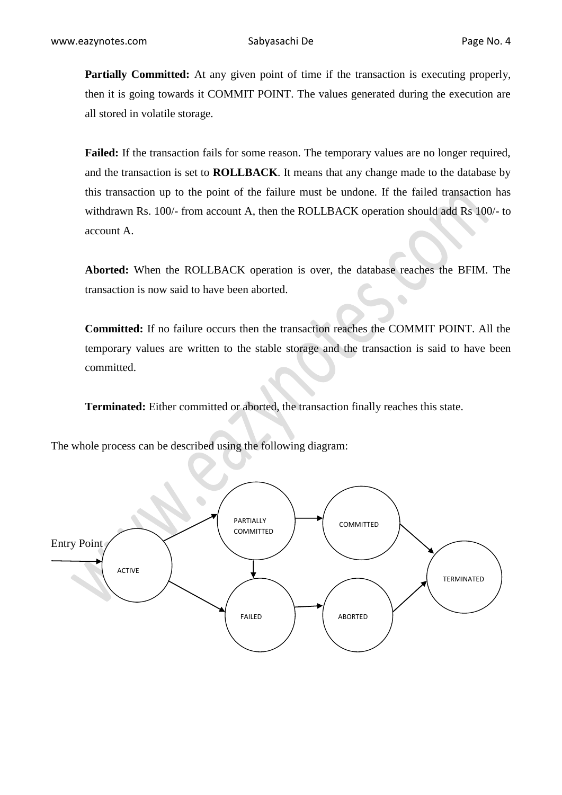**Partially Committed:** At any given point of time if the transaction is executing properly, then it is going towards it COMMIT POINT. The values generated during the execution are all stored in volatile storage.

**Failed:** If the transaction fails for some reason. The temporary values are no longer required, and the transaction is set to **ROLLBACK**. It means that any change made to the database by this transaction up to the point of the failure must be undone. If the failed transaction has withdrawn Rs. 100/- from account A, then the ROLLBACK operation should add Rs 100/- to account A.

**Aborted:** When the ROLLBACK operation is over, the database reaches the BFIM. The transaction is now said to have been aborted.  $\bullet$ 

**Committed:** If no failure occurs then the transaction reaches the COMMIT POINT. All the temporary values are written to the stable storage and the transaction is said to have been committed.

**Terminated:** Either committed or aborted, the transaction finally reaches this state.

The whole process can be described using the following diagram:

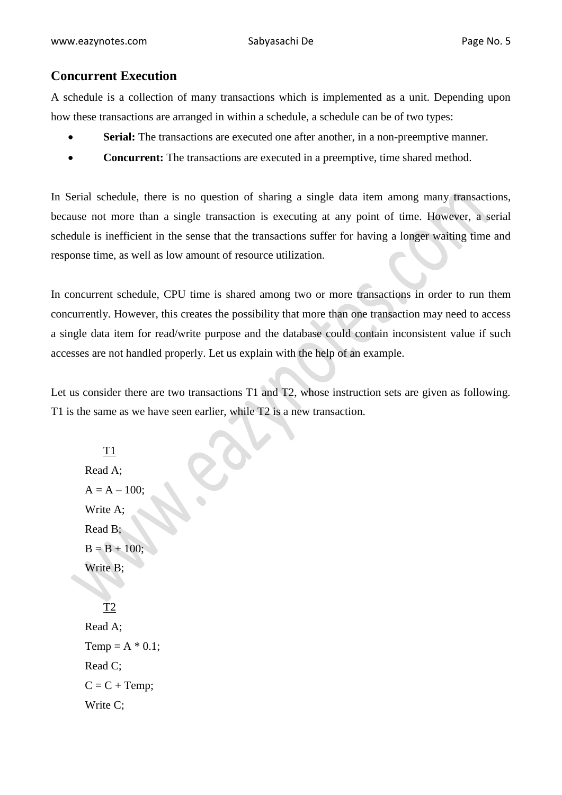# **Concurrent Execution**

A schedule is a collection of many transactions which is implemented as a unit. Depending upon how these transactions are arranged in within a schedule, a schedule can be of two types:

- Serial: The transactions are executed one after another, in a non-preemptive manner.
- **Concurrent:** The transactions are executed in a preemptive, time shared method.

In Serial schedule, there is no question of sharing a single data item among many transactions, because not more than a single transaction is executing at any point of time. However, a serial schedule is inefficient in the sense that the transactions suffer for having a longer waiting time and response time, as well as low amount of resource utilization.

In concurrent schedule, CPU time is shared among two or more transactions in order to run them concurrently. However, this creates the possibility that more than one transaction may need to access a single data item for read/write purpose and the database could contain inconsistent value if such accesses are not handled properly. Let us explain with the help of an example.

Let us consider there are two transactions T1 and T2, whose instruction sets are given as following. T1 is the same as we have seen earlier, while T2 is a new transaction.

T1 Read A;  $A = A - 100$ ; Write A; Read B;  $B = B + 100;$ Write B; T2 Read A; Temp =  $A * 0.1$ ; Read C;  $C = C + Temp;$ Write C;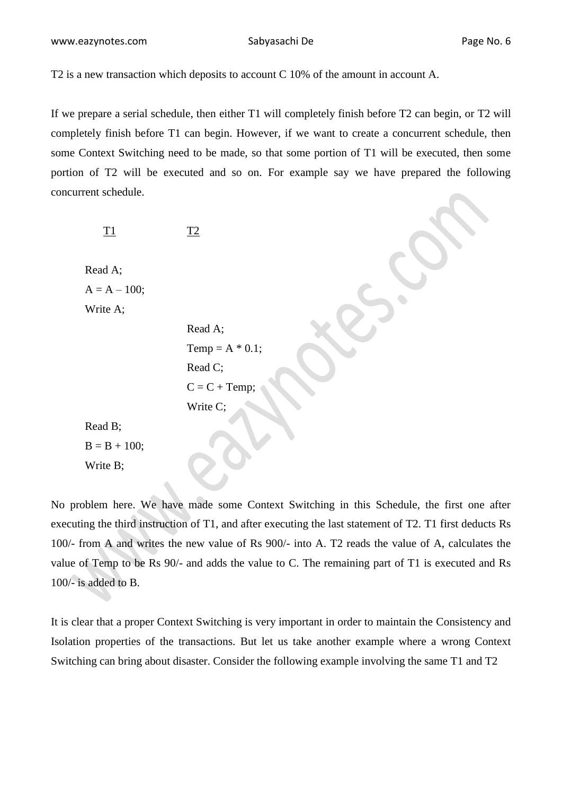www.eazynotes.com Sabyasachi De Page No. 6

T2 is a new transaction which deposits to account C 10% of the amount in account A.

If we prepare a serial schedule, then either T1 will completely finish before T2 can begin, or T2 will completely finish before T1 can begin. However, if we want to create a concurrent schedule, then some Context Switching need to be made, so that some portion of T1 will be executed, then some portion of T2 will be executed and so on. For example say we have prepared the following concurrent schedule.

 $\overline{11}$   $\overline{12}$ 

Read A;  $A = A - 100;$ Write A;

```
Read A;
                    Temp = A * 0.1;
                    Read C;
                    C = C + Temp;Write C;
Read B;
```
 $B = B + 100;$ 

Write B;

No problem here. We have made some Context Switching in this Schedule, the first one after executing the third instruction of T1, and after executing the last statement of T2. T1 first deducts Rs 100/- from A and writes the new value of Rs 900/- into A. T2 reads the value of A, calculates the value of Temp to be Rs 90/- and adds the value to C. The remaining part of T1 is executed and Rs 100/- is added to B.

It is clear that a proper Context Switching is very important in order to maintain the Consistency and Isolation properties of the transactions. But let us take another example where a wrong Context Switching can bring about disaster. Consider the following example involving the same T1 and T2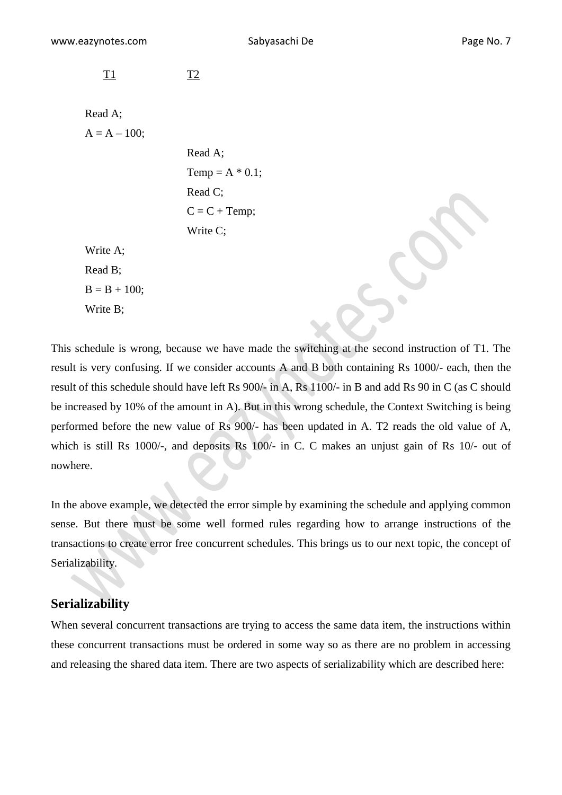T1 T2

Read A;  $A = A - 100$ ;

> Read A; Temp =  $A * 0.1$ ; Read C;  $C = C + Temp;$ Write C;

Write A; Read B;  $B = B + 100$ ; Write B;

This schedule is wrong, because we have made the switching at the second instruction of T1. The result is very confusing. If we consider accounts A and B both containing Rs 1000/- each, then the result of this schedule should have left Rs 900/- in A, Rs 1100/- in B and add Rs 90 in C (as C should be increased by 10% of the amount in A). But in this wrong schedule, the Context Switching is being performed before the new value of Rs 900/- has been updated in A. T2 reads the old value of A, which is still Rs 1000/-, and deposits Rs 100/- in C. C makes an unjust gain of Rs 10/- out of nowhere.

In the above example, we detected the error simple by examining the schedule and applying common sense. But there must be some well formed rules regarding how to arrange instructions of the transactions to create error free concurrent schedules. This brings us to our next topic, the concept of Serializability.

# **Serializability**

When several concurrent transactions are trying to access the same data item, the instructions within these concurrent transactions must be ordered in some way so as there are no problem in accessing and releasing the shared data item. There are two aspects of serializability which are described here: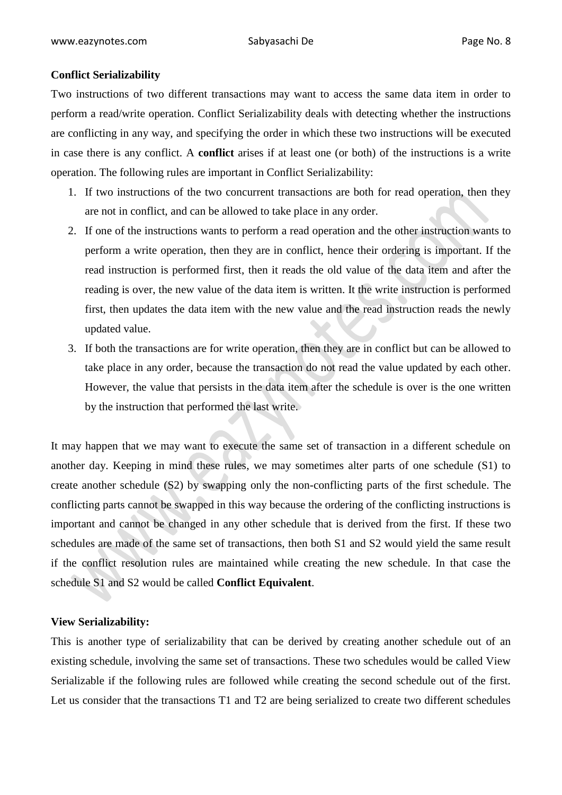#### **Conflict Serializability**

Two instructions of two different transactions may want to access the same data item in order to perform a read/write operation. Conflict Serializability deals with detecting whether the instructions are conflicting in any way, and specifying the order in which these two instructions will be executed in case there is any conflict. A **conflict** arises if at least one (or both) of the instructions is a write operation. The following rules are important in Conflict Serializability:

- 1. If two instructions of the two concurrent transactions are both for read operation, then they are not in conflict, and can be allowed to take place in any order.
- 2. If one of the instructions wants to perform a read operation and the other instruction wants to perform a write operation, then they are in conflict, hence their ordering is important. If the read instruction is performed first, then it reads the old value of the data item and after the reading is over, the new value of the data item is written. It the write instruction is performed first, then updates the data item with the new value and the read instruction reads the newly updated value.
- 3. If both the transactions are for write operation, then they are in conflict but can be allowed to take place in any order, because the transaction do not read the value updated by each other. However, the value that persists in the data item after the schedule is over is the one written by the instruction that performed the last write.

It may happen that we may want to execute the same set of transaction in a different schedule on another day. Keeping in mind these rules, we may sometimes alter parts of one schedule (S1) to create another schedule (S2) by swapping only the non-conflicting parts of the first schedule. The conflicting parts cannot be swapped in this way because the ordering of the conflicting instructions is important and cannot be changed in any other schedule that is derived from the first. If these two schedules are made of the same set of transactions, then both S1 and S2 would yield the same result if the conflict resolution rules are maintained while creating the new schedule. In that case the schedule S1 and S2 would be called **Conflict Equivalent**.

#### **View Serializability:**

This is another type of serializability that can be derived by creating another schedule out of an existing schedule, involving the same set of transactions. These two schedules would be called View Serializable if the following rules are followed while creating the second schedule out of the first. Let us consider that the transactions T1 and T2 are being serialized to create two different schedules